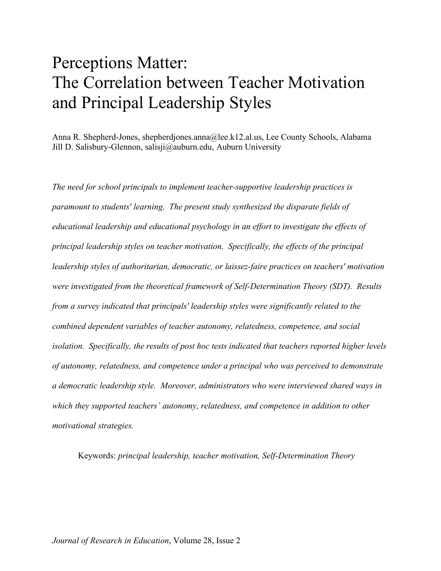# Perceptions Matter: The Correlation between Teacher Motivation and Principal Leadership Styles

Anna R. Shepherd-Jones, shepherdjones.anna@lee.k12.al.us, Lee County Schools, Alabama Jill D. Salisbury-Glennon, salisji@auburn.edu, Auburn University

*The need for school principals to implement teacher-supportive leadership practices is paramount to students' learning. The present study synthesized the disparate fields of educational leadership and educational psychology in an effort to investigate the effects of principal leadership styles on teacher motivation. Specifically, the effects of the principal leadership styles of authoritarian, democratic, or laissez-faire practices on teachers' motivation were investigated from the theoretical framework of Self-Determination Theory (SDT). Results from a survey indicated that principals' leadership styles were significantly related to the combined dependent variables of teacher autonomy, relatedness, competence, and social isolation. Specifically, the results of post hoc tests indicated that teachers reported higher levels of autonomy, relatedness, and competence under a principal who was perceived to demonstrate a democratic leadership style. Moreover, administrators who were interviewed shared ways in which they supported teachers' autonomy, relatedness, and competence in addition to other motivational strategies.*

Keywords: *principal leadership, teacher motivation, Self-Determination Theory*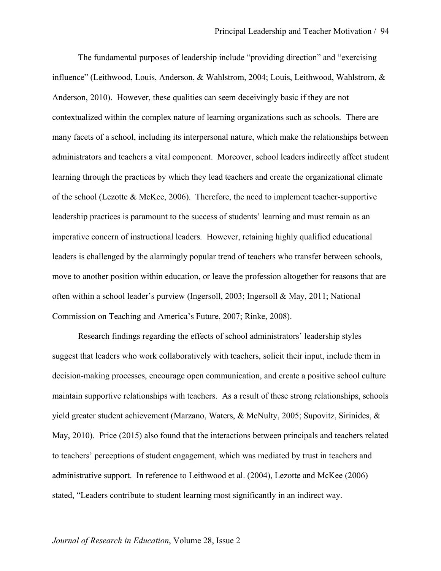The fundamental purposes of leadership include "providing direction" and "exercising influence" (Leithwood, Louis, Anderson, & Wahlstrom, 2004; Louis, Leithwood, Wahlstrom, & Anderson, 2010). However, these qualities can seem deceivingly basic if they are not contextualized within the complex nature of learning organizations such as schools. There are many facets of a school, including its interpersonal nature, which make the relationships between administrators and teachers a vital component. Moreover, school leaders indirectly affect student learning through the practices by which they lead teachers and create the organizational climate of the school (Lezotte & McKee, 2006). Therefore, the need to implement teacher-supportive leadership practices is paramount to the success of students' learning and must remain as an imperative concern of instructional leaders. However, retaining highly qualified educational leaders is challenged by the alarmingly popular trend of teachers who transfer between schools, move to another position within education, or leave the profession altogether for reasons that are often within a school leader's purview (Ingersoll, 2003; Ingersoll & May, 2011; National Commission on Teaching and America's Future, 2007; Rinke, 2008).

Research findings regarding the effects of school administrators' leadership styles suggest that leaders who work collaboratively with teachers, solicit their input, include them in decision-making processes, encourage open communication, and create a positive school culture maintain supportive relationships with teachers. As a result of these strong relationships, schools yield greater student achievement (Marzano, Waters, & McNulty, 2005; Supovitz, Sirinides, & May, 2010). Price (2015) also found that the interactions between principals and teachers related to teachers' perceptions of student engagement, which was mediated by trust in teachers and administrative support. In reference to Leithwood et al. (2004), Lezotte and McKee (2006) stated, "Leaders contribute to student learning most significantly in an indirect way.

#### *Journal of Research in Education*, Volume 28, Issue 2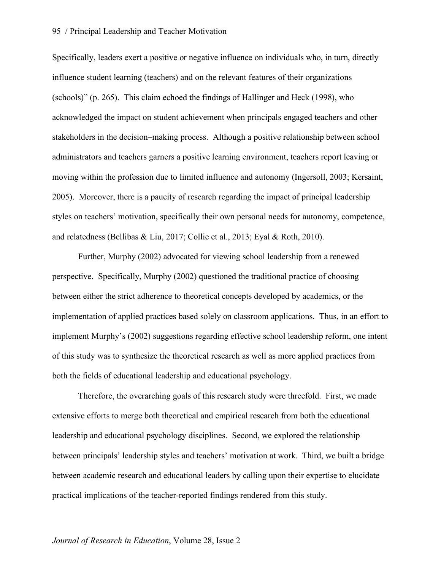#### 95 / Principal Leadership and Teacher Motivation

Specifically, leaders exert a positive or negative influence on individuals who, in turn, directly influence student learning (teachers) and on the relevant features of their organizations (schools)" (p. 265). This claim echoed the findings of Hallinger and Heck (1998), who acknowledged the impact on student achievement when principals engaged teachers and other stakeholders in the decision–making process. Although a positive relationship between school administrators and teachers garners a positive learning environment, teachers report leaving or moving within the profession due to limited influence and autonomy (Ingersoll, 2003; Kersaint, 2005). Moreover, there is a paucity of research regarding the impact of principal leadership styles on teachers' motivation, specifically their own personal needs for autonomy, competence, and relatedness (Bellibas & Liu, 2017; Collie et al., 2013; Eyal & Roth, 2010).

Further, Murphy (2002) advocated for viewing school leadership from a renewed perspective. Specifically, Murphy (2002) questioned the traditional practice of choosing between either the strict adherence to theoretical concepts developed by academics, or the implementation of applied practices based solely on classroom applications. Thus, in an effort to implement Murphy's (2002) suggestions regarding effective school leadership reform, one intent of this study was to synthesize the theoretical research as well as more applied practices from both the fields of educational leadership and educational psychology.

Therefore, the overarching goals of this research study were threefold. First, we made extensive efforts to merge both theoretical and empirical research from both the educational leadership and educational psychology disciplines. Second, we explored the relationship between principals' leadership styles and teachers' motivation at work. Third, we built a bridge between academic research and educational leaders by calling upon their expertise to elucidate practical implications of the teacher-reported findings rendered from this study.

#### *Journal of Research in Education*, Volume 28, Issue 2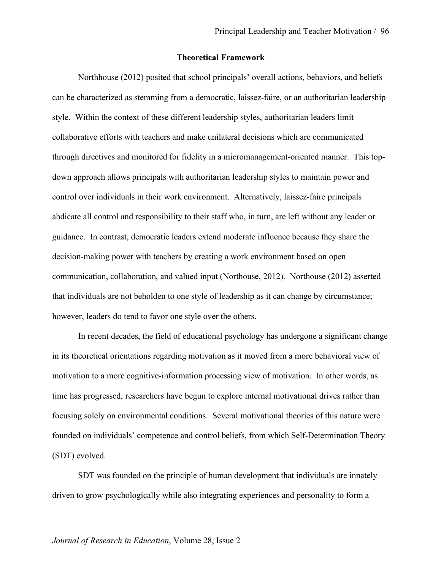#### **Theoretical Framework**

Northhouse (2012) posited that school principals' overall actions, behaviors, and beliefs can be characterized as stemming from a democratic, laissez-faire, or an authoritarian leadership style. Within the context of these different leadership styles, authoritarian leaders limit collaborative efforts with teachers and make unilateral decisions which are communicated through directives and monitored for fidelity in a micromanagement-oriented manner. This topdown approach allows principals with authoritarian leadership styles to maintain power and control over individuals in their work environment. Alternatively, laissez-faire principals abdicate all control and responsibility to their staff who, in turn, are left without any leader or guidance. In contrast, democratic leaders extend moderate influence because they share the decision-making power with teachers by creating a work environment based on open communication, collaboration, and valued input (Northouse, 2012). Northouse (2012) asserted that individuals are not beholden to one style of leadership as it can change by circumstance; however, leaders do tend to favor one style over the others.

In recent decades, the field of educational psychology has undergone a significant change in its theoretical orientations regarding motivation as it moved from a more behavioral view of motivation to a more cognitive-information processing view of motivation. In other words, as time has progressed, researchers have begun to explore internal motivational drives rather than focusing solely on environmental conditions. Several motivational theories of this nature were founded on individuals' competence and control beliefs, from which Self-Determination Theory (SDT) evolved.

SDT was founded on the principle of human development that individuals are innately driven to grow psychologically while also integrating experiences and personality to form a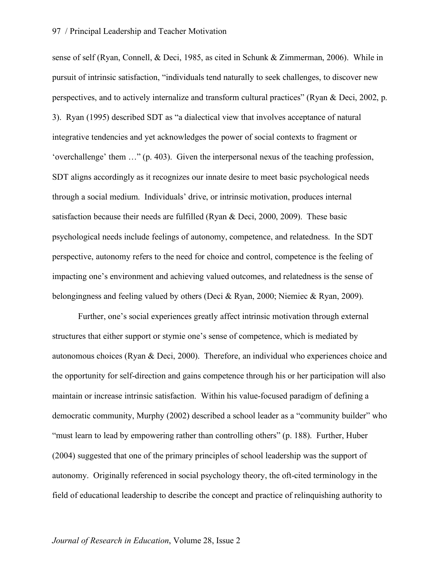sense of self (Ryan, Connell, & Deci, 1985, as cited in Schunk & Zimmerman, 2006). While in pursuit of intrinsic satisfaction, "individuals tend naturally to seek challenges, to discover new perspectives, and to actively internalize and transform cultural practices" (Ryan & Deci, 2002, p. 3). Ryan (1995) described SDT as "a dialectical view that involves acceptance of natural integrative tendencies and yet acknowledges the power of social contexts to fragment or 'overchallenge' them …" (p. 403). Given the interpersonal nexus of the teaching profession, SDT aligns accordingly as it recognizes our innate desire to meet basic psychological needs through a social medium. Individuals' drive, or intrinsic motivation, produces internal satisfaction because their needs are fulfilled (Ryan & Deci, 2000, 2009). These basic psychological needs include feelings of autonomy, competence, and relatedness. In the SDT perspective, autonomy refers to the need for choice and control, competence is the feeling of impacting one's environment and achieving valued outcomes, and relatedness is the sense of belongingness and feeling valued by others (Deci & Ryan, 2000; Niemiec & Ryan, 2009).

Further, one's social experiences greatly affect intrinsic motivation through external structures that either support or stymie one's sense of competence, which is mediated by autonomous choices (Ryan & Deci, 2000). Therefore, an individual who experiences choice and the opportunity for self-direction and gains competence through his or her participation will also maintain or increase intrinsic satisfaction. Within his value-focused paradigm of defining a democratic community, Murphy (2002) described a school leader as a "community builder" who "must learn to lead by empowering rather than controlling others" (p. 188). Further, Huber (2004) suggested that one of the primary principles of school leadership was the support of autonomy. Originally referenced in social psychology theory, the oft-cited terminology in the field of educational leadership to describe the concept and practice of relinquishing authority to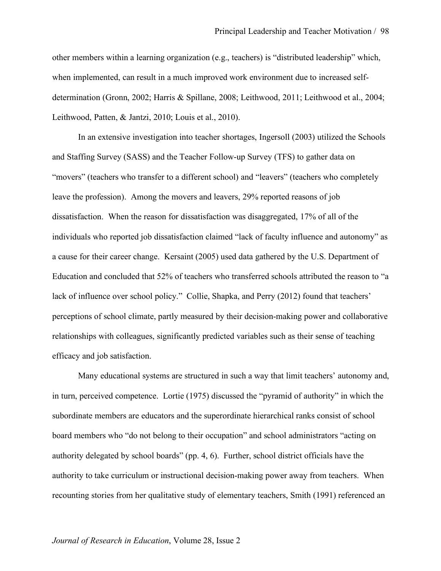other members within a learning organization (e.g., teachers) is "distributed leadership" which, when implemented, can result in a much improved work environment due to increased selfdetermination (Gronn, 2002; Harris & Spillane, 2008; Leithwood, 2011; Leithwood et al., 2004; Leithwood, Patten, & Jantzi, 2010; Louis et al., 2010).

In an extensive investigation into teacher shortages, Ingersoll (2003) utilized the Schools and Staffing Survey (SASS) and the Teacher Follow-up Survey (TFS) to gather data on "movers" (teachers who transfer to a different school) and "leavers" (teachers who completely leave the profession). Among the movers and leavers, 29% reported reasons of job dissatisfaction. When the reason for dissatisfaction was disaggregated, 17% of all of the individuals who reported job dissatisfaction claimed "lack of faculty influence and autonomy" as a cause for their career change. Kersaint (2005) used data gathered by the U.S. Department of Education and concluded that 52% of teachers who transferred schools attributed the reason to "a lack of influence over school policy." Collie, Shapka, and Perry (2012) found that teachers' perceptions of school climate, partly measured by their decision-making power and collaborative relationships with colleagues, significantly predicted variables such as their sense of teaching efficacy and job satisfaction.

Many educational systems are structured in such a way that limit teachers' autonomy and, in turn, perceived competence. Lortie (1975) discussed the "pyramid of authority" in which the subordinate members are educators and the superordinate hierarchical ranks consist of school board members who "do not belong to their occupation" and school administrators "acting on authority delegated by school boards" (pp. 4, 6). Further, school district officials have the authority to take curriculum or instructional decision-making power away from teachers. When recounting stories from her qualitative study of elementary teachers, Smith (1991) referenced an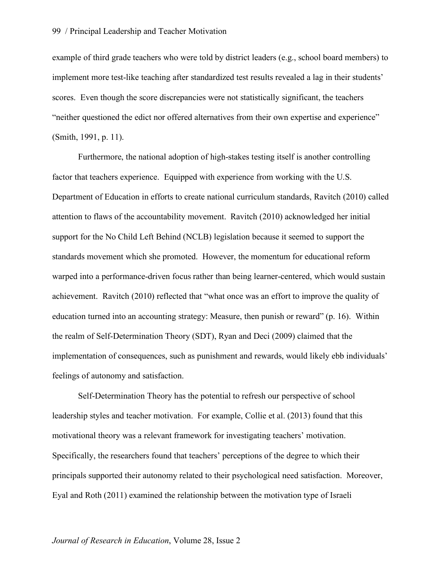example of third grade teachers who were told by district leaders (e.g., school board members) to implement more test-like teaching after standardized test results revealed a lag in their students' scores. Even though the score discrepancies were not statistically significant, the teachers "neither questioned the edict nor offered alternatives from their own expertise and experience" (Smith, 1991, p. 11).

Furthermore, the national adoption of high-stakes testing itself is another controlling factor that teachers experience. Equipped with experience from working with the U.S. Department of Education in efforts to create national curriculum standards, Ravitch (2010) called attention to flaws of the accountability movement. Ravitch (2010) acknowledged her initial support for the No Child Left Behind (NCLB) legislation because it seemed to support the standards movement which she promoted. However, the momentum for educational reform warped into a performance-driven focus rather than being learner-centered, which would sustain achievement. Ravitch (2010) reflected that "what once was an effort to improve the quality of education turned into an accounting strategy: Measure, then punish or reward" (p. 16). Within the realm of Self-Determination Theory (SDT), Ryan and Deci (2009) claimed that the implementation of consequences, such as punishment and rewards, would likely ebb individuals' feelings of autonomy and satisfaction.

Self-Determination Theory has the potential to refresh our perspective of school leadership styles and teacher motivation. For example, Collie et al. (2013) found that this motivational theory was a relevant framework for investigating teachers' motivation. Specifically, the researchers found that teachers' perceptions of the degree to which their principals supported their autonomy related to their psychological need satisfaction. Moreover, Eyal and Roth (2011) examined the relationship between the motivation type of Israeli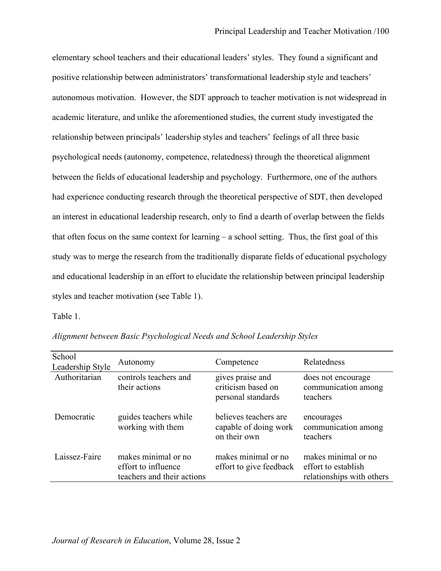elementary school teachers and their educational leaders' styles. They found a significant and positive relationship between administrators' transformational leadership style and teachers' autonomous motivation. However, the SDT approach to teacher motivation is not widespread in academic literature, and unlike the aforementioned studies, the current study investigated the relationship between principals' leadership styles and teachers' feelings of all three basic psychological needs (autonomy, competence, relatedness) through the theoretical alignment between the fields of educational leadership and psychology. Furthermore, one of the authors had experience conducting research through the theoretical perspective of SDT, then developed an interest in educational leadership research, only to find a dearth of overlap between the fields that often focus on the same context for learning – a school setting. Thus, the first goal of this study was to merge the research from the traditionally disparate fields of educational psychology and educational leadership in an effort to elucidate the relationship between principal leadership styles and teacher motivation (see Table 1).

Table 1.

| School<br>Leadership Style | Autonomy                                                                 | Competence                                                     | Relatedness                                                             |
|----------------------------|--------------------------------------------------------------------------|----------------------------------------------------------------|-------------------------------------------------------------------------|
| Authoritarian              | controls teachers and<br>their actions                                   | gives praise and<br>criticism based on<br>personal standards   | does not encourage<br>communication among<br>teachers                   |
| Democratic                 | guides teachers while<br>working with them                               | believes teachers are<br>capable of doing work<br>on their own | encourages<br>communication among<br>teachers                           |
| Laissez-Faire              | makes minimal or no<br>effort to influence<br>teachers and their actions | makes minimal or no<br>effort to give feedback                 | makes minimal or no<br>effort to establish<br>relationships with others |

*Alignment between Basic Psychological Needs and School Leadership Styles*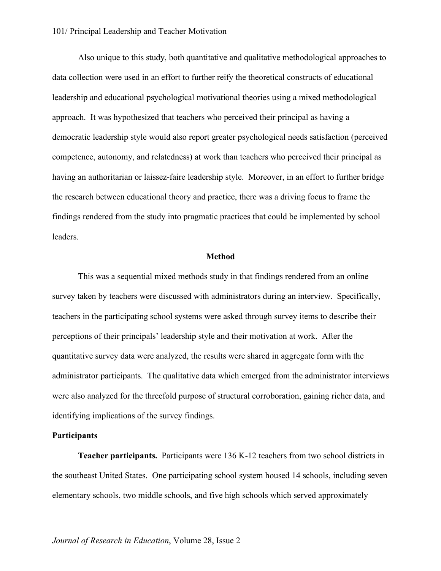Also unique to this study, both quantitative and qualitative methodological approaches to data collection were used in an effort to further reify the theoretical constructs of educational leadership and educational psychological motivational theories using a mixed methodological approach. It was hypothesized that teachers who perceived their principal as having a democratic leadership style would also report greater psychological needs satisfaction (perceived competence, autonomy, and relatedness) at work than teachers who perceived their principal as having an authoritarian or laissez-faire leadership style. Moreover, in an effort to further bridge the research between educational theory and practice, there was a driving focus to frame the findings rendered from the study into pragmatic practices that could be implemented by school leaders.

#### **Method**

This was a sequential mixed methods study in that findings rendered from an online survey taken by teachers were discussed with administrators during an interview. Specifically, teachers in the participating school systems were asked through survey items to describe their perceptions of their principals' leadership style and their motivation at work. After the quantitative survey data were analyzed, the results were shared in aggregate form with the administrator participants. The qualitative data which emerged from the administrator interviews were also analyzed for the threefold purpose of structural corroboration, gaining richer data, and identifying implications of the survey findings.

#### **Participants**

**Teacher participants.** Participants were 136 K-12 teachers from two school districts in the southeast United States. One participating school system housed 14 schools, including seven elementary schools, two middle schools, and five high schools which served approximately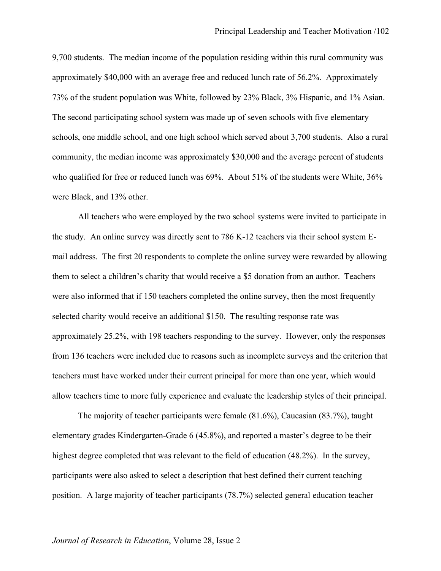9,700 students. The median income of the population residing within this rural community was approximately \$40,000 with an average free and reduced lunch rate of 56.2%. Approximately 73% of the student population was White, followed by 23% Black, 3% Hispanic, and 1% Asian. The second participating school system was made up of seven schools with five elementary schools, one middle school, and one high school which served about 3,700 students. Also a rural community, the median income was approximately \$30,000 and the average percent of students who qualified for free or reduced lunch was 69%. About 51% of the students were White, 36% were Black, and 13% other.

All teachers who were employed by the two school systems were invited to participate in the study. An online survey was directly sent to 786 K-12 teachers via their school system Email address. The first 20 respondents to complete the online survey were rewarded by allowing them to select a children's charity that would receive a \$5 donation from an author. Teachers were also informed that if 150 teachers completed the online survey, then the most frequently selected charity would receive an additional \$150. The resulting response rate was approximately 25.2%, with 198 teachers responding to the survey. However, only the responses from 136 teachers were included due to reasons such as incomplete surveys and the criterion that teachers must have worked under their current principal for more than one year, which would allow teachers time to more fully experience and evaluate the leadership styles of their principal.

The majority of teacher participants were female (81.6%), Caucasian (83.7%), taught elementary grades Kindergarten-Grade 6 (45.8%), and reported a master's degree to be their highest degree completed that was relevant to the field of education (48.2%). In the survey, participants were also asked to select a description that best defined their current teaching position. A large majority of teacher participants (78.7%) selected general education teacher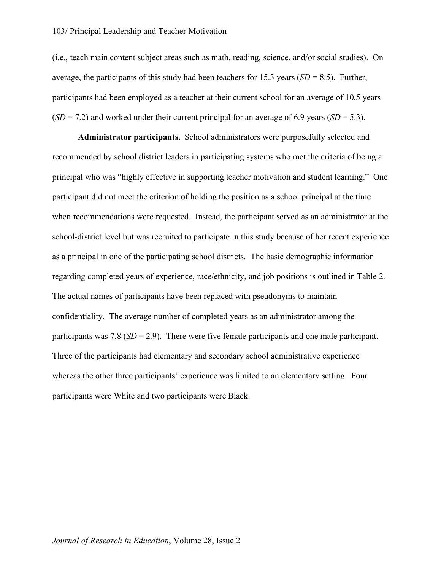#### 103/ Principal Leadership and Teacher Motivation

(i.e., teach main content subject areas such as math, reading, science, and/or social studies). On average, the participants of this study had been teachers for 15.3 years (*SD* = 8.5). Further, participants had been employed as a teacher at their current school for an average of 10.5 years  $(SD = 7.2)$  and worked under their current principal for an average of 6.9 years  $(SD = 5.3)$ .

**Administrator participants.** School administrators were purposefully selected and recommended by school district leaders in participating systems who met the criteria of being a principal who was "highly effective in supporting teacher motivation and student learning." One participant did not meet the criterion of holding the position as a school principal at the time when recommendations were requested. Instead, the participant served as an administrator at the school-district level but was recruited to participate in this study because of her recent experience as a principal in one of the participating school districts. The basic demographic information regarding completed years of experience, race/ethnicity, and job positions is outlined in Table 2. The actual names of participants have been replaced with pseudonyms to maintain confidentiality. The average number of completed years as an administrator among the participants was 7.8 (*SD* = 2.9). There were five female participants and one male participant. Three of the participants had elementary and secondary school administrative experience whereas the other three participants' experience was limited to an elementary setting. Four participants were White and two participants were Black.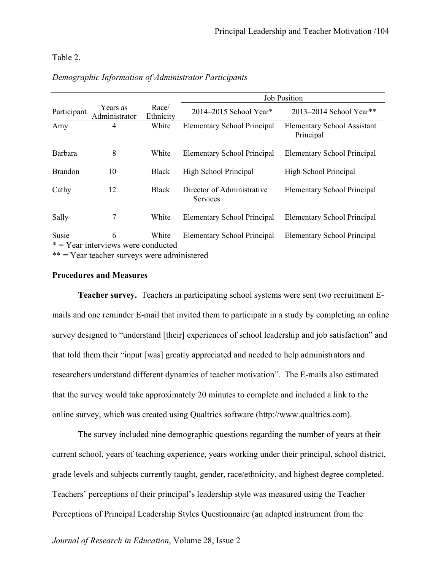#### Table 2.

|                                      |                           |                    | <b>Job Position</b>                           |                                                 |  |  |
|--------------------------------------|---------------------------|--------------------|-----------------------------------------------|-------------------------------------------------|--|--|
| Participant                          | Years as<br>Administrator | Race/<br>Ethnicity | 2014–2015 School Year*                        | 2013-2014 School Year**                         |  |  |
| Amy                                  | 4                         | White              | <b>Elementary School Principal</b>            | <b>Elementary School Assistant</b><br>Principal |  |  |
| Barbara                              | 8                         | White              | <b>Elementary School Principal</b>            | <b>Elementary School Principal</b>              |  |  |
| <b>Brandon</b>                       | 10                        | <b>Black</b>       | High School Principal                         | High School Principal                           |  |  |
| Cathy                                | 12                        | <b>Black</b>       | Director of Administrative<br><b>Services</b> | <b>Elementary School Principal</b>              |  |  |
| Sally                                | 7                         | White              | <b>Elementary School Principal</b>            | <b>Elementary School Principal</b>              |  |  |
| Susie                                | 6                         | White              | <b>Elementary School Principal</b>            | <b>Elementary School Principal</b>              |  |  |
| $*$ = Year interviews were conducted |                           |                    |                                               |                                                 |  |  |

#### *Demographic Information of Administrator Participants*

\*\* = Year teacher surveys were administered

#### **Procedures and Measures**

**Teacher survey.** Teachers in participating school systems were sent two recruitment Emails and one reminder E-mail that invited them to participate in a study by completing an online survey designed to "understand [their] experiences of school leadership and job satisfaction" and that told them their "input [was] greatly appreciated and needed to help administrators and researchers understand different dynamics of teacher motivation". The E-mails also estimated that the survey would take approximately 20 minutes to complete and included a link to the online survey, which was created using Qualtrics software (http://www.qualtrics.com).

The survey included nine demographic questions regarding the number of years at their current school, years of teaching experience, years working under their principal, school district, grade levels and subjects currently taught, gender, race/ethnicity, and highest degree completed. Teachers' perceptions of their principal's leadership style was measured using the Teacher Perceptions of Principal Leadership Styles Questionnaire (an adapted instrument from the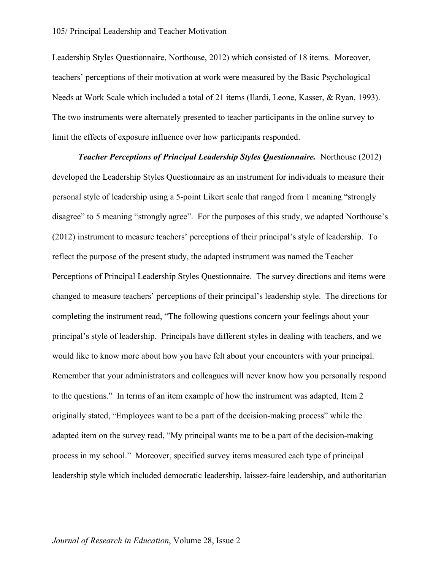#### 105/ Principal Leadership and Teacher Motivation

Leadership Styles Questionnaire, Northouse, 2012) which consisted of 18 items. Moreover, teachers' perceptions of their motivation at work were measured by the Basic Psychological Needs at Work Scale which included a total of 21 items (Ilardi, Leone, Kasser, & Ryan, 1993). The two instruments were alternately presented to teacher participants in the online survey to limit the effects of exposure influence over how participants responded.

*Teacher Perceptions of Principal Leadership Styles Questionnaire.* Northouse (2012) developed the Leadership Styles Questionnaire as an instrument for individuals to measure their personal style of leadership using a 5-point Likert scale that ranged from 1 meaning "strongly disagree" to 5 meaning "strongly agree". For the purposes of this study, we adapted Northouse's (2012) instrument to measure teachers' perceptions of their principal's style of leadership. To reflect the purpose of the present study, the adapted instrument was named the Teacher Perceptions of Principal Leadership Styles Questionnaire. The survey directions and items were changed to measure teachers' perceptions of their principal's leadership style. The directions for completing the instrument read, "The following questions concern your feelings about your principal's style of leadership. Principals have different styles in dealing with teachers, and we would like to know more about how you have felt about your encounters with your principal. Remember that your administrators and colleagues will never know how you personally respond to the questions." In terms of an item example of how the instrument was adapted, Item 2 originally stated, "Employees want to be a part of the decision-making process" while the adapted item on the survey read, "My principal wants me to be a part of the decision-making process in my school." Moreover, specified survey items measured each type of principal leadership style which included democratic leadership, laissez-faire leadership, and authoritarian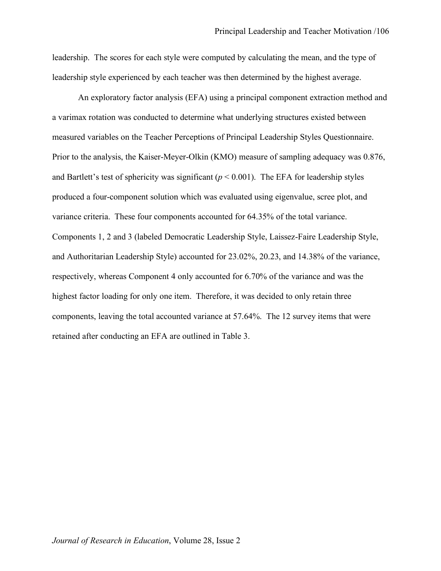leadership. The scores for each style were computed by calculating the mean, and the type of leadership style experienced by each teacher was then determined by the highest average.

An exploratory factor analysis (EFA) using a principal component extraction method and a varimax rotation was conducted to determine what underlying structures existed between measured variables on the Teacher Perceptions of Principal Leadership Styles Questionnaire. Prior to the analysis, the Kaiser-Meyer-Olkin (KMO) measure of sampling adequacy was 0.876, and Bartlett's test of sphericity was significant  $(p < 0.001)$ . The EFA for leadership styles produced a four-component solution which was evaluated using eigenvalue, scree plot, and variance criteria. These four components accounted for 64.35% of the total variance. Components 1, 2 and 3 (labeled Democratic Leadership Style, Laissez-Faire Leadership Style, and Authoritarian Leadership Style) accounted for 23.02%, 20.23, and 14.38% of the variance, respectively, whereas Component 4 only accounted for 6.70% of the variance and was the highest factor loading for only one item. Therefore, it was decided to only retain three components, leaving the total accounted variance at 57.64%. The 12 survey items that were retained after conducting an EFA are outlined in Table 3.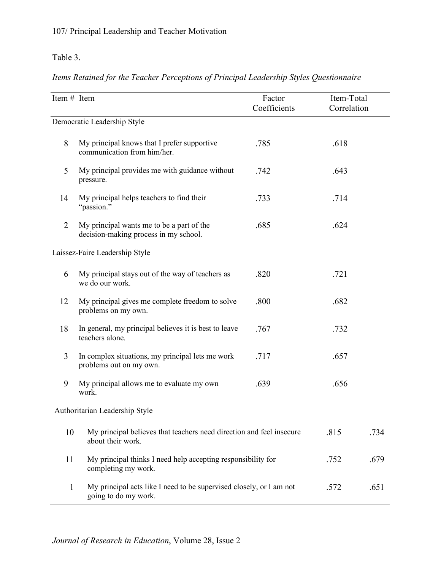## Table 3.

## *Items Retained for the Teacher Perceptions of Principal Leadership Styles Questionnaire*

| Item # Item    |                                                                                             | Factor<br>Coefficients | Item-Total<br>Correlation |      |
|----------------|---------------------------------------------------------------------------------------------|------------------------|---------------------------|------|
|                | Democratic Leadership Style                                                                 |                        |                           |      |
|                |                                                                                             |                        |                           |      |
| 8              | My principal knows that I prefer supportive<br>communication from him/her.                  | .785                   | .618                      |      |
| 5              | My principal provides me with guidance without<br>pressure.                                 | .742                   | .643                      |      |
| 14             | My principal helps teachers to find their<br>"passion."                                     | .733                   | .714                      |      |
| $\overline{2}$ | My principal wants me to be a part of the<br>decision-making process in my school.          | .685                   | .624                      |      |
|                | Laissez-Faire Leadership Style                                                              |                        |                           |      |
| 6              | My principal stays out of the way of teachers as<br>we do our work.                         | .820                   | .721                      |      |
| 12             | My principal gives me complete freedom to solve<br>problems on my own.                      | .800                   | .682                      |      |
| 18             | In general, my principal believes it is best to leave<br>teachers alone.                    | .767                   | .732                      |      |
| 3              | In complex situations, my principal lets me work<br>problems out on my own.                 | .717                   | .657                      |      |
| 9              | My principal allows me to evaluate my own<br>work.                                          | .639                   | .656                      |      |
|                | Authoritarian Leadership Style                                                              |                        |                           |      |
| 10             | My principal believes that teachers need direction and feel insecure<br>about their work.   |                        | .815                      | .734 |
| 11             | My principal thinks I need help accepting responsibility for<br>completing my work.         |                        | .752                      | .679 |
| $\mathbf{1}$   | My principal acts like I need to be supervised closely, or I am not<br>going to do my work. |                        | .572                      | .651 |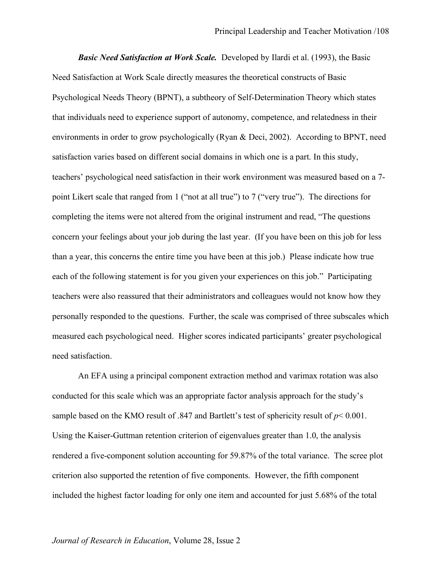*Basic Need Satisfaction at Work Scale.* Developed by Ilardi et al. (1993), the Basic Need Satisfaction at Work Scale directly measures the theoretical constructs of Basic Psychological Needs Theory (BPNT), a subtheory of Self-Determination Theory which states that individuals need to experience support of autonomy, competence, and relatedness in their environments in order to grow psychologically (Ryan & Deci, 2002). According to BPNT, need satisfaction varies based on different social domains in which one is a part. In this study, teachers' psychological need satisfaction in their work environment was measured based on a 7 point Likert scale that ranged from 1 ("not at all true") to 7 ("very true"). The directions for completing the items were not altered from the original instrument and read, "The questions concern your feelings about your job during the last year. (If you have been on this job for less than a year, this concerns the entire time you have been at this job.) Please indicate how true each of the following statement is for you given your experiences on this job." Participating teachers were also reassured that their administrators and colleagues would not know how they personally responded to the questions. Further, the scale was comprised of three subscales which measured each psychological need. Higher scores indicated participants' greater psychological need satisfaction.

An EFA using a principal component extraction method and varimax rotation was also conducted for this scale which was an appropriate factor analysis approach for the study's sample based on the KMO result of .847 and Bartlett's test of sphericity result of *p*< 0.001. Using the Kaiser-Guttman retention criterion of eigenvalues greater than 1.0, the analysis rendered a five-component solution accounting for 59.87% of the total variance. The scree plot criterion also supported the retention of five components. However, the fifth component included the highest factor loading for only one item and accounted for just 5.68% of the total

#### *Journal of Research in Education*, Volume 28, Issue 2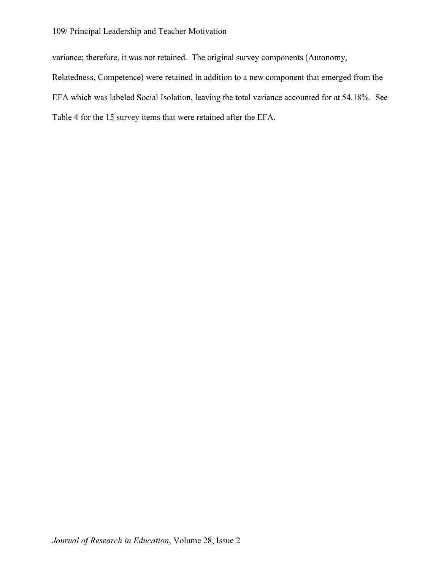#### 109/ Principal Leadership and Teacher Motivation

variance; therefore, it was not retained. The original survey components (Autonomy, Relatedness, Competence) were retained in addition to a new component that emerged from the EFA which was labeled Social Isolation, leaving the total variance accounted for at 54.18%. See Table 4 for the 15 survey items that were retained after the EFA.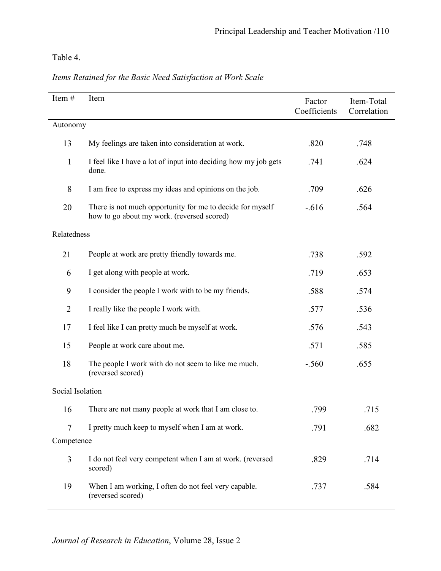Table 4.

| Item#            | Item                                                                                                    | Factor<br>Coefficients | Item-Total<br>Correlation |
|------------------|---------------------------------------------------------------------------------------------------------|------------------------|---------------------------|
| Autonomy         |                                                                                                         |                        |                           |
| 13               | My feelings are taken into consideration at work.                                                       | .820                   | .748                      |
| $\mathbf{1}$     | I feel like I have a lot of input into deciding how my job gets<br>done.                                | .741                   | .624                      |
| 8                | I am free to express my ideas and opinions on the job.                                                  | .709                   | .626                      |
| 20               | There is not much opportunity for me to decide for myself<br>how to go about my work. (reversed scored) | $-.616$                | .564                      |
| Relatedness      |                                                                                                         |                        |                           |
| 21               | People at work are pretty friendly towards me.                                                          | .738                   | .592                      |
| 6                | I get along with people at work.                                                                        | .719                   | .653                      |
| 9                | I consider the people I work with to be my friends.                                                     | .588                   | .574                      |
| $\overline{2}$   | I really like the people I work with.                                                                   | .577                   | .536                      |
| 17               | I feel like I can pretty much be myself at work.                                                        | .576                   | .543                      |
| 15               | People at work care about me.                                                                           | .571                   | .585                      |
| 18               | The people I work with do not seem to like me much.<br>(reversed scored)                                | $-.560$                | .655                      |
| Social Isolation |                                                                                                         |                        |                           |
| 16               | There are not many people at work that I am close to.                                                   | .799                   | .715                      |
| 7                | I pretty much keep to myself when I am at work.                                                         | .791                   | .682                      |
| Competence       |                                                                                                         |                        |                           |
| 3                | I do not feel very competent when I am at work. (reversed<br>scored)                                    | .829                   | .714                      |
| 19               | When I am working, I often do not feel very capable.<br>(reversed scored)                               | .737                   | .584                      |

*Items Retained for the Basic Need Satisfaction at Work Scale*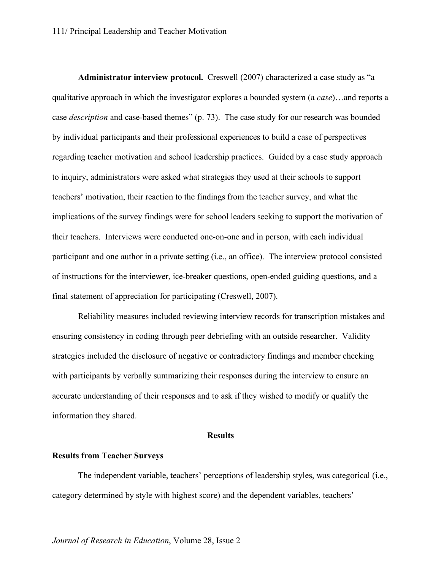**Administrator interview protocol.** Creswell (2007) characterized a case study as "a qualitative approach in which the investigator explores a bounded system (a *case*)…and reports a case *description* and case-based themes" (p. 73). The case study for our research was bounded by individual participants and their professional experiences to build a case of perspectives regarding teacher motivation and school leadership practices. Guided by a case study approach to inquiry, administrators were asked what strategies they used at their schools to support teachers' motivation, their reaction to the findings from the teacher survey, and what the implications of the survey findings were for school leaders seeking to support the motivation of their teachers. Interviews were conducted one-on-one and in person, with each individual participant and one author in a private setting (i.e., an office). The interview protocol consisted of instructions for the interviewer, ice-breaker questions, open-ended guiding questions, and a final statement of appreciation for participating (Creswell, 2007).

Reliability measures included reviewing interview records for transcription mistakes and ensuring consistency in coding through peer debriefing with an outside researcher. Validity strategies included the disclosure of negative or contradictory findings and member checking with participants by verbally summarizing their responses during the interview to ensure an accurate understanding of their responses and to ask if they wished to modify or qualify the information they shared.

#### **Results**

#### **Results from Teacher Surveys**

The independent variable, teachers' perceptions of leadership styles, was categorical (i.e., category determined by style with highest score) and the dependent variables, teachers'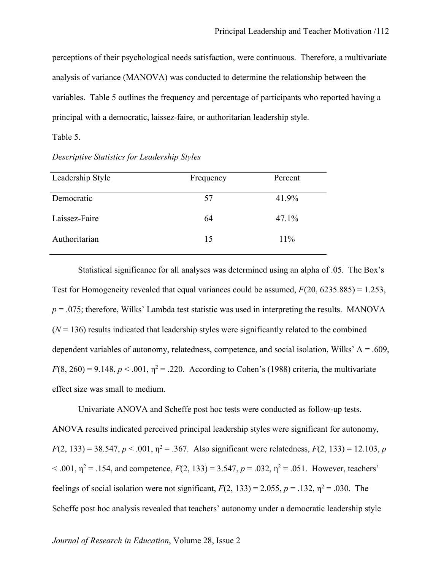perceptions of their psychological needs satisfaction, were continuous. Therefore, a multivariate analysis of variance (MANOVA) was conducted to determine the relationship between the variables. Table 5 outlines the frequency and percentage of participants who reported having a principal with a democratic, laissez-faire, or authoritarian leadership style.

#### Table 5.

| Frequency | Percent |
|-----------|---------|
|           |         |
|           | 41.9%   |
| 64        | 47.1%   |
| 15        | 11%     |
|           | 57      |

*Descriptive Statistics for Leadership Styles* 

Statistical significance for all analyses was determined using an alpha of .05. The Box's Test for Homogeneity revealed that equal variances could be assumed, *F*(20, 6235.885) = 1.253,  $p = 0.075$ ; therefore, Wilks' Lambda test statistic was used in interpreting the results. MANOVA  $(N = 136)$  results indicated that leadership styles were significantly related to the combined dependent variables of autonomy, relatedness, competence, and social isolation, Wilks'  $\Lambda = .609$ ,  $F(8, 260) = 9.148$ ,  $p < .001$ ,  $\eta^2 = .220$ . According to Cohen's (1988) criteria, the multivariate effect size was small to medium.

Univariate ANOVA and Scheffe post hoc tests were conducted as follow-up tests. ANOVA results indicated perceived principal leadership styles were significant for autonomy,  $F(2, 133) = 38.547$ ,  $p < .001$ ,  $p^2 = .367$ . Also significant were relatedness,  $F(2, 133) = 12.103$ , *p*  $< .001$ ,  $\eta^2 = .154$ , and competence,  $F(2, 133) = 3.547$ ,  $p = .032$ ,  $\eta^2 = .051$ . However, teachers' feelings of social isolation were not significant,  $F(2, 133) = 2.055$ ,  $p = .132$ ,  $p^2 = .030$ . The Scheffe post hoc analysis revealed that teachers' autonomy under a democratic leadership style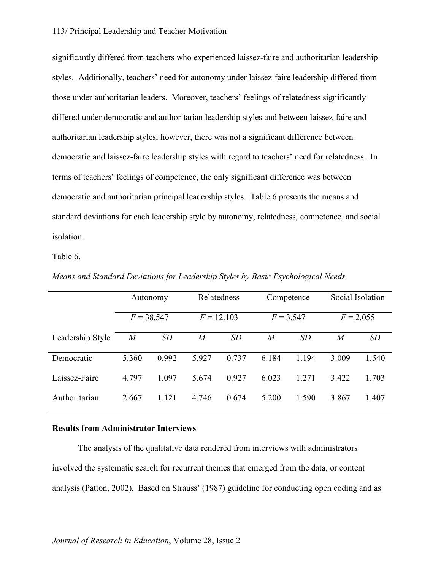#### 113/ Principal Leadership and Teacher Motivation

significantly differed from teachers who experienced laissez-faire and authoritarian leadership styles. Additionally, teachers' need for autonomy under laissez-faire leadership differed from those under authoritarian leaders. Moreover, teachers' feelings of relatedness significantly differed under democratic and authoritarian leadership styles and between laissez-faire and authoritarian leadership styles; however, there was not a significant difference between democratic and laissez-faire leadership styles with regard to teachers' need for relatedness. In terms of teachers' feelings of competence, the only significant difference was between democratic and authoritarian principal leadership styles. Table 6 presents the means and standard deviations for each leadership style by autonomy, relatedness, competence, and social isolation.

Table 6.

|                  | Autonomy     |       |                | Relatedness  |                  | Competence  | Social Isolation |           |
|------------------|--------------|-------|----------------|--------------|------------------|-------------|------------------|-----------|
|                  | $F = 38.547$ |       |                | $F = 12.103$ |                  | $F = 3.547$ | $F = 2.055$      |           |
| Leadership Style | $\it{M}$     | SD    | $\overline{M}$ | SD           | $\boldsymbol{M}$ | SD          | M                | <i>SD</i> |
| Democratic       | 5.360        | 0.992 | 5.927          | 0.737        | 6.184            | 1.194       | 3.009            | 1.540     |
| Laissez-Faire    | 4.797        | 1.097 | 5.674          | 0.927        | 6.023            | 1.271       | 3.422            | 1.703     |
| Authoritarian    | 2.667        | 1.121 | 4.746          | 0.674        | 5.200            | 1.590       | 3.867            | 1.407     |

*Means and Standard Deviations for Leadership Styles by Basic Psychological Needs*

#### **Results from Administrator Interviews**

 The analysis of the qualitative data rendered from interviews with administrators involved the systematic search for recurrent themes that emerged from the data, or content analysis (Patton, 2002). Based on Strauss' (1987) guideline for conducting open coding and as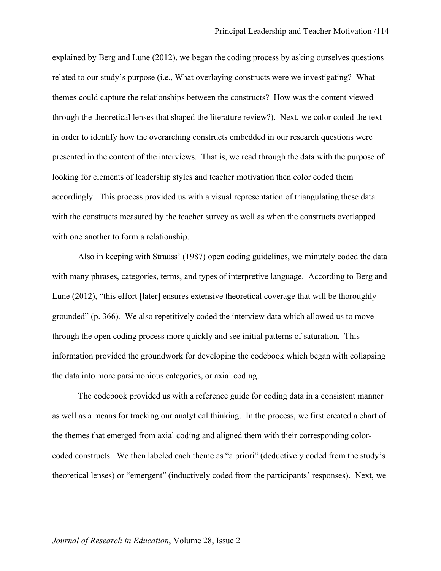explained by Berg and Lune (2012), we began the coding process by asking ourselves questions related to our study's purpose (i.e., What overlaying constructs were we investigating? What themes could capture the relationships between the constructs? How was the content viewed through the theoretical lenses that shaped the literature review?). Next, we color coded the text in order to identify how the overarching constructs embedded in our research questions were presented in the content of the interviews. That is, we read through the data with the purpose of looking for elements of leadership styles and teacher motivation then color coded them accordingly. This process provided us with a visual representation of triangulating these data with the constructs measured by the teacher survey as well as when the constructs overlapped with one another to form a relationship.

Also in keeping with Strauss' (1987) open coding guidelines, we minutely coded the data with many phrases, categories, terms, and types of interpretive language. According to Berg and Lune (2012), "this effort [later] ensures extensive theoretical coverage that will be thoroughly grounded" (p. 366). We also repetitively coded the interview data which allowed us to move through the open coding process more quickly and see initial patterns of saturation. This information provided the groundwork for developing the codebook which began with collapsing the data into more parsimonious categories, or axial coding.

The codebook provided us with a reference guide for coding data in a consistent manner as well as a means for tracking our analytical thinking. In the process, we first created a chart of the themes that emerged from axial coding and aligned them with their corresponding colorcoded constructs. We then labeled each theme as "a priori" (deductively coded from the study's theoretical lenses) or "emergent" (inductively coded from the participants' responses). Next, we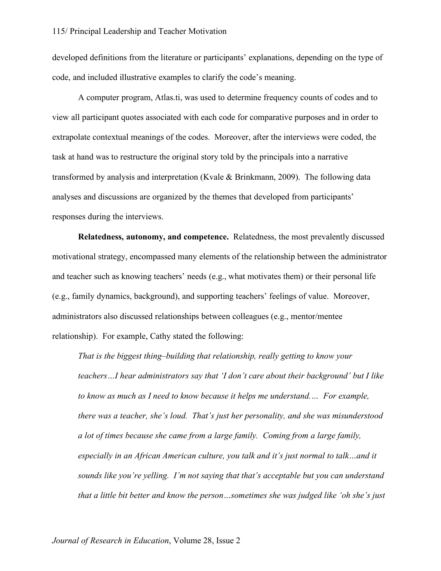developed definitions from the literature or participants' explanations, depending on the type of code, and included illustrative examples to clarify the code's meaning.

A computer program, Atlas.ti, was used to determine frequency counts of codes and to view all participant quotes associated with each code for comparative purposes and in order to extrapolate contextual meanings of the codes. Moreover, after the interviews were coded, the task at hand was to restructure the original story told by the principals into a narrative transformed by analysis and interpretation (Kvale & Brinkmann, 2009). The following data analyses and discussions are organized by the themes that developed from participants' responses during the interviews.

**Relatedness, autonomy, and competence.** Relatedness, the most prevalently discussed motivational strategy, encompassed many elements of the relationship between the administrator and teacher such as knowing teachers' needs (e.g., what motivates them) or their personal life (e.g., family dynamics, background), and supporting teachers' feelings of value. Moreover, administrators also discussed relationships between colleagues (e.g., mentor/mentee relationship). For example, Cathy stated the following:

*That is the biggest thing–building that relationship, really getting to know your teachers…I hear administrators say that 'I don't care about their background' but I like to know as much as I need to know because it helps me understand.… For example, there was a teacher, she's loud. That's just her personality, and she was misunderstood a lot of times because she came from a large family. Coming from a large family, especially in an African American culture, you talk and it's just normal to talk…and it sounds like you're yelling. I'm not saying that that's acceptable but you can understand that a little bit better and know the person…sometimes she was judged like 'oh she's just*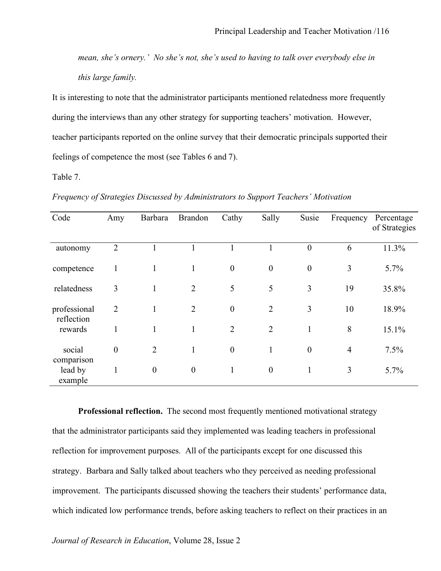*mean, she's ornery.' No she's not, she's used to having to talk over everybody else in this large family.*

It is interesting to note that the administrator participants mentioned relatedness more frequently during the interviews than any other strategy for supporting teachers' motivation. However, teacher participants reported on the online survey that their democratic principals supported their feelings of competence the most (see Tables 6 and 7).

Table 7.

| Code                             | Amy              | Barbara          | <b>Brandon</b>   | Cathy            | Sally            | Susie            | Frequency      | Percentage<br>of Strategies |
|----------------------------------|------------------|------------------|------------------|------------------|------------------|------------------|----------------|-----------------------------|
| autonomy                         | $\overline{2}$   |                  |                  |                  |                  | $\boldsymbol{0}$ | 6              | 11.3%                       |
| competence                       | 1                | 1                | 1                | $\boldsymbol{0}$ | $\boldsymbol{0}$ | $\boldsymbol{0}$ | 3              | 5.7%                        |
| relatedness                      | 3                | $\mathbf{1}$     | $\overline{2}$   | 5                | 5                | 3                | 19             | 35.8%                       |
| professional<br>reflection       | $\overline{2}$   | 1                | $\overline{2}$   | $\overline{0}$   | $\overline{2}$   | 3                | 10             | 18.9%                       |
| rewards                          | 1                | $\mathbf{1}$     | 1                | $\overline{2}$   | $\overline{2}$   | $\mathbf{1}$     | 8              | 15.1%                       |
| social                           | $\boldsymbol{0}$ | $\overline{2}$   | $\mathbf{1}$     | $\boldsymbol{0}$ | $\mathbf{1}$     | $\boldsymbol{0}$ | $\overline{4}$ | 7.5%                        |
| comparison<br>lead by<br>example | 1                | $\boldsymbol{0}$ | $\boldsymbol{0}$ | 1                | $\boldsymbol{0}$ | $\mathbf{1}$     | 3              | 5.7%                        |

*Frequency of Strategies Discussed by Administrators to Support Teachers' Motivation*

**Professional reflection.** The second most frequently mentioned motivational strategy that the administrator participants said they implemented was leading teachers in professional reflection for improvement purposes. All of the participants except for one discussed this strategy. Barbara and Sally talked about teachers who they perceived as needing professional improvement. The participants discussed showing the teachers their students' performance data, which indicated low performance trends, before asking teachers to reflect on their practices in an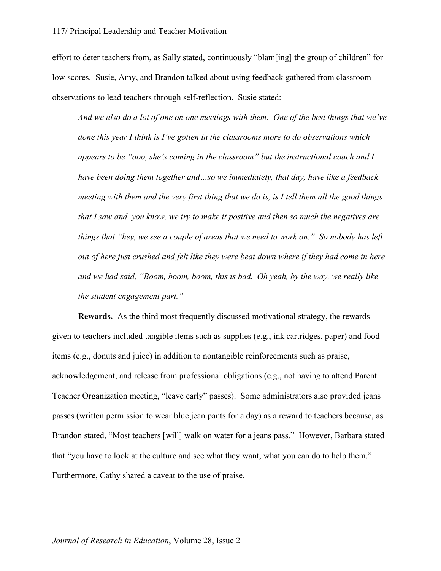effort to deter teachers from, as Sally stated, continuously "blam[ing] the group of children" for low scores. Susie, Amy, and Brandon talked about using feedback gathered from classroom observations to lead teachers through self-reflection. Susie stated:

*And we also do a lot of one on one meetings with them. One of the best things that we've done this year I think is I've gotten in the classrooms more to do observations which appears to be "ooo, she's coming in the classroom" but the instructional coach and I have been doing them together and…so we immediately, that day, have like a feedback meeting with them and the very first thing that we do is, is I tell them all the good things that I saw and, you know, we try to make it positive and then so much the negatives are things that "hey, we see a couple of areas that we need to work on." So nobody has left out of here just crushed and felt like they were beat down where if they had come in here and we had said, "Boom, boom, boom, this is bad. Oh yeah, by the way, we really like the student engagement part."*

**Rewards.** As the third most frequently discussed motivational strategy, the rewards given to teachers included tangible items such as supplies (e.g., ink cartridges, paper) and food items (e.g., donuts and juice) in addition to nontangible reinforcements such as praise, acknowledgement, and release from professional obligations (e.g., not having to attend Parent Teacher Organization meeting, "leave early" passes). Some administrators also provided jeans passes (written permission to wear blue jean pants for a day) as a reward to teachers because, as Brandon stated, "Most teachers [will] walk on water for a jeans pass." However, Barbara stated that "you have to look at the culture and see what they want, what you can do to help them." Furthermore, Cathy shared a caveat to the use of praise.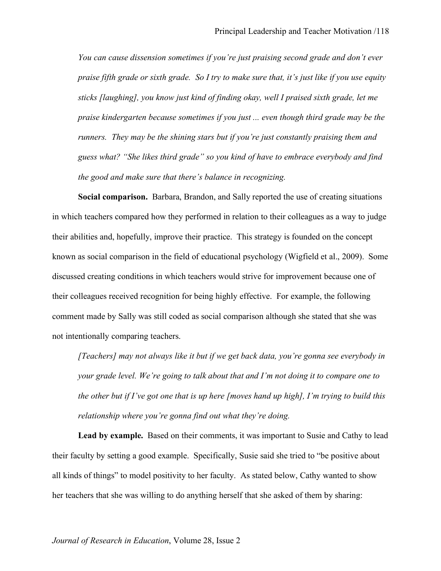*You can cause dissension sometimes if you're just praising second grade and don't ever praise fifth grade or sixth grade. So I try to make sure that, it's just like if you use equity sticks [laughing], you know just kind of finding okay, well I praised sixth grade, let me praise kindergarten because sometimes if you just ... even though third grade may be the runners. They may be the shining stars but if you're just constantly praising them and guess what? "She likes third grade" so you kind of have to embrace everybody and find the good and make sure that there's balance in recognizing.*

**Social comparison.** Barbara, Brandon, and Sally reported the use of creating situations in which teachers compared how they performed in relation to their colleagues as a way to judge their abilities and, hopefully, improve their practice. This strategy is founded on the concept known as social comparison in the field of educational psychology (Wigfield et al., 2009). Some discussed creating conditions in which teachers would strive for improvement because one of their colleagues received recognition for being highly effective. For example, the following comment made by Sally was still coded as social comparison although she stated that she was not intentionally comparing teachers.

*[Teachers] may not always like it but if we get back data, you're gonna see everybody in your grade level. We're going to talk about that and I'm not doing it to compare one to the other but if I've got one that is up here [moves hand up high], I'm trying to build this relationship where you're gonna find out what they're doing.*

**Lead by example.** Based on their comments, it was important to Susie and Cathy to lead their faculty by setting a good example. Specifically, Susie said she tried to "be positive about all kinds of things" to model positivity to her faculty. As stated below, Cathy wanted to show her teachers that she was willing to do anything herself that she asked of them by sharing: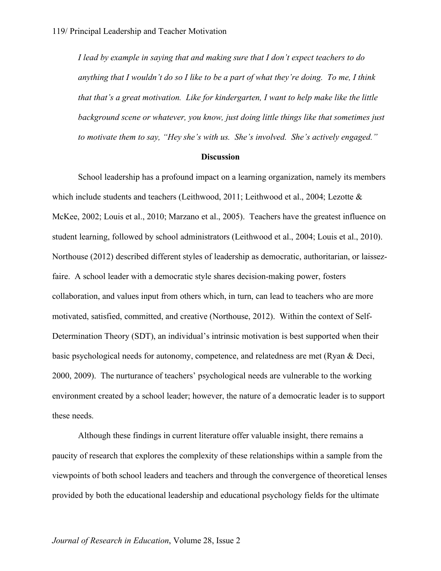*I lead by example in saying that and making sure that I don't expect teachers to do anything that I wouldn't do so I like to be a part of what they're doing. To me, I think that that's a great motivation. Like for kindergarten, I want to help make like the little background scene or whatever, you know, just doing little things like that sometimes just to motivate them to say, "Hey she's with us. She's involved. She's actively engaged."*

#### **Discussion**

School leadership has a profound impact on a learning organization, namely its members which include students and teachers (Leithwood, 2011; Leithwood et al., 2004; Lezotte & McKee, 2002; Louis et al., 2010; Marzano et al., 2005). Teachers have the greatest influence on student learning, followed by school administrators (Leithwood et al., 2004; Louis et al., 2010). Northouse (2012) described different styles of leadership as democratic, authoritarian, or laissezfaire. A school leader with a democratic style shares decision-making power, fosters collaboration, and values input from others which, in turn, can lead to teachers who are more motivated, satisfied, committed, and creative (Northouse, 2012). Within the context of Self-Determination Theory (SDT), an individual's intrinsic motivation is best supported when their basic psychological needs for autonomy, competence, and relatedness are met (Ryan & Deci, 2000, 2009). The nurturance of teachers' psychological needs are vulnerable to the working environment created by a school leader; however, the nature of a democratic leader is to support these needs.

Although these findings in current literature offer valuable insight, there remains a paucity of research that explores the complexity of these relationships within a sample from the viewpoints of both school leaders and teachers and through the convergence of theoretical lenses provided by both the educational leadership and educational psychology fields for the ultimate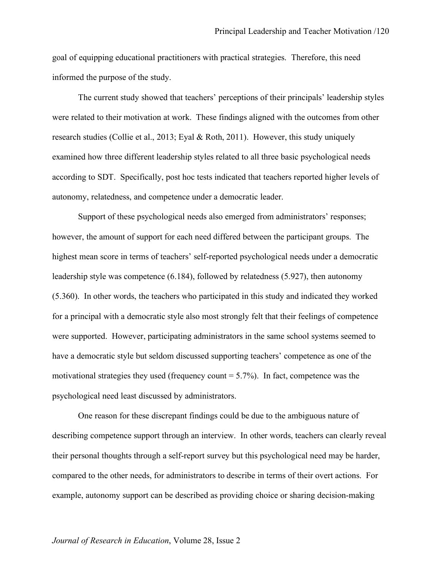goal of equipping educational practitioners with practical strategies. Therefore, this need informed the purpose of the study.

The current study showed that teachers' perceptions of their principals' leadership styles were related to their motivation at work. These findings aligned with the outcomes from other research studies (Collie et al., 2013; Eyal & Roth, 2011). However, this study uniquely examined how three different leadership styles related to all three basic psychological needs according to SDT. Specifically, post hoc tests indicated that teachers reported higher levels of autonomy, relatedness, and competence under a democratic leader.

Support of these psychological needs also emerged from administrators' responses; however, the amount of support for each need differed between the participant groups. The highest mean score in terms of teachers' self-reported psychological needs under a democratic leadership style was competence (6.184), followed by relatedness (5.927), then autonomy (5.360). In other words, the teachers who participated in this study and indicated they worked for a principal with a democratic style also most strongly felt that their feelings of competence were supported. However, participating administrators in the same school systems seemed to have a democratic style but seldom discussed supporting teachers' competence as one of the motivational strategies they used (frequency count  $= 5.7\%$ ). In fact, competence was the psychological need least discussed by administrators.

One reason for these discrepant findings could be due to the ambiguous nature of describing competence support through an interview. In other words, teachers can clearly reveal their personal thoughts through a self-report survey but this psychological need may be harder, compared to the other needs, for administrators to describe in terms of their overt actions. For example, autonomy support can be described as providing choice or sharing decision-making

#### *Journal of Research in Education*, Volume 28, Issue 2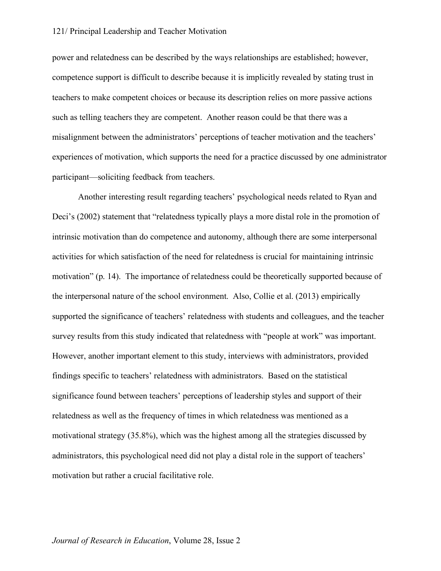#### 121/ Principal Leadership and Teacher Motivation

power and relatedness can be described by the ways relationships are established; however, competence support is difficult to describe because it is implicitly revealed by stating trust in teachers to make competent choices or because its description relies on more passive actions such as telling teachers they are competent. Another reason could be that there was a misalignment between the administrators' perceptions of teacher motivation and the teachers' experiences of motivation, which supports the need for a practice discussed by one administrator participant—soliciting feedback from teachers.

Another interesting result regarding teachers' psychological needs related to Ryan and Deci's (2002) statement that "relatedness typically plays a more distal role in the promotion of intrinsic motivation than do competence and autonomy, although there are some interpersonal activities for which satisfaction of the need for relatedness is crucial for maintaining intrinsic motivation" (p. 14). The importance of relatedness could be theoretically supported because of the interpersonal nature of the school environment. Also, Collie et al. (2013) empirically supported the significance of teachers' relatedness with students and colleagues, and the teacher survey results from this study indicated that relatedness with "people at work" was important. However, another important element to this study, interviews with administrators, provided findings specific to teachers' relatedness with administrators. Based on the statistical significance found between teachers' perceptions of leadership styles and support of their relatedness as well as the frequency of times in which relatedness was mentioned as a motivational strategy (35.8%), which was the highest among all the strategies discussed by administrators, this psychological need did not play a distal role in the support of teachers' motivation but rather a crucial facilitative role.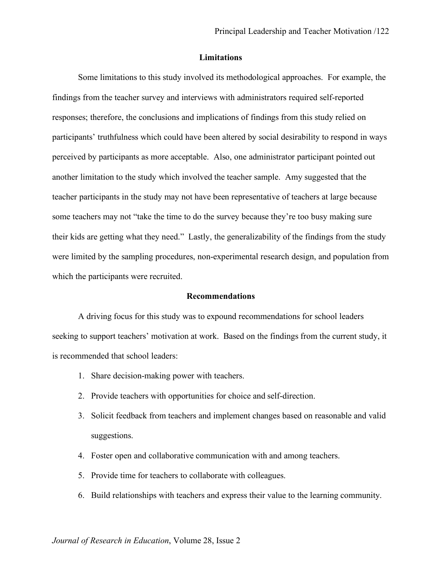#### **Limitations**

Some limitations to this study involved its methodological approaches. For example, the findings from the teacher survey and interviews with administrators required self-reported responses; therefore, the conclusions and implications of findings from this study relied on participants' truthfulness which could have been altered by social desirability to respond in ways perceived by participants as more acceptable. Also, one administrator participant pointed out another limitation to the study which involved the teacher sample. Amy suggested that the teacher participants in the study may not have been representative of teachers at large because some teachers may not "take the time to do the survey because they're too busy making sure their kids are getting what they need." Lastly, the generalizability of the findings from the study were limited by the sampling procedures, non-experimental research design, and population from which the participants were recruited.

#### **Recommendations**

A driving focus for this study was to expound recommendations for school leaders seeking to support teachers' motivation at work. Based on the findings from the current study, it is recommended that school leaders:

- 1. Share decision-making power with teachers.
- 2. Provide teachers with opportunities for choice and self-direction.
- 3. Solicit feedback from teachers and implement changes based on reasonable and valid suggestions.
- 4. Foster open and collaborative communication with and among teachers.
- 5. Provide time for teachers to collaborate with colleagues.
- 6. Build relationships with teachers and express their value to the learning community.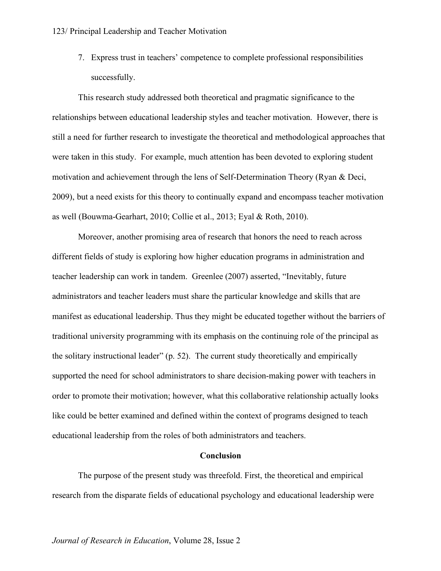7. Express trust in teachers' competence to complete professional responsibilities successfully.

This research study addressed both theoretical and pragmatic significance to the relationships between educational leadership styles and teacher motivation. However, there is still a need for further research to investigate the theoretical and methodological approaches that were taken in this study. For example, much attention has been devoted to exploring student motivation and achievement through the lens of Self-Determination Theory (Ryan & Deci, 2009), but a need exists for this theory to continually expand and encompass teacher motivation as well (Bouwma-Gearhart, 2010; Collie et al., 2013; Eyal & Roth, 2010).

Moreover, another promising area of research that honors the need to reach across different fields of study is exploring how higher education programs in administration and teacher leadership can work in tandem. Greenlee (2007) asserted, "Inevitably, future administrators and teacher leaders must share the particular knowledge and skills that are manifest as educational leadership. Thus they might be educated together without the barriers of traditional university programming with its emphasis on the continuing role of the principal as the solitary instructional leader" (p. 52). The current study theoretically and empirically supported the need for school administrators to share decision-making power with teachers in order to promote their motivation; however, what this collaborative relationship actually looks like could be better examined and defined within the context of programs designed to teach educational leadership from the roles of both administrators and teachers.

#### **Conclusion**

The purpose of the present study was threefold. First, the theoretical and empirical research from the disparate fields of educational psychology and educational leadership were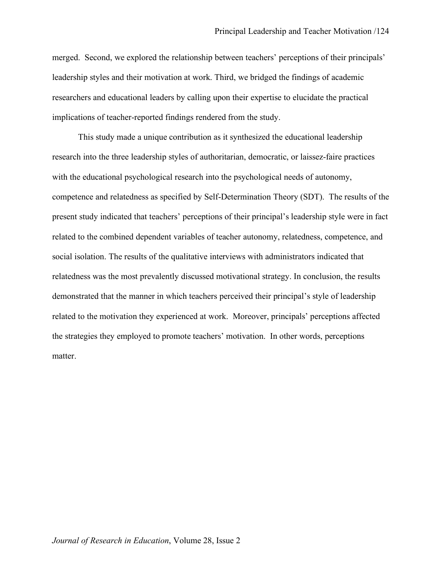merged. Second, we explored the relationship between teachers' perceptions of their principals' leadership styles and their motivation at work. Third, we bridged the findings of academic researchers and educational leaders by calling upon their expertise to elucidate the practical implications of teacher-reported findings rendered from the study.

This study made a unique contribution as it synthesized the educational leadership research into the three leadership styles of authoritarian, democratic, or laissez-faire practices with the educational psychological research into the psychological needs of autonomy, competence and relatedness as specified by Self-Determination Theory (SDT). The results of the present study indicated that teachers' perceptions of their principal's leadership style were in fact related to the combined dependent variables of teacher autonomy, relatedness, competence, and social isolation. The results of the qualitative interviews with administrators indicated that relatedness was the most prevalently discussed motivational strategy. In conclusion, the results demonstrated that the manner in which teachers perceived their principal's style of leadership related to the motivation they experienced at work. Moreover, principals' perceptions affected the strategies they employed to promote teachers' motivation. In other words, perceptions matter.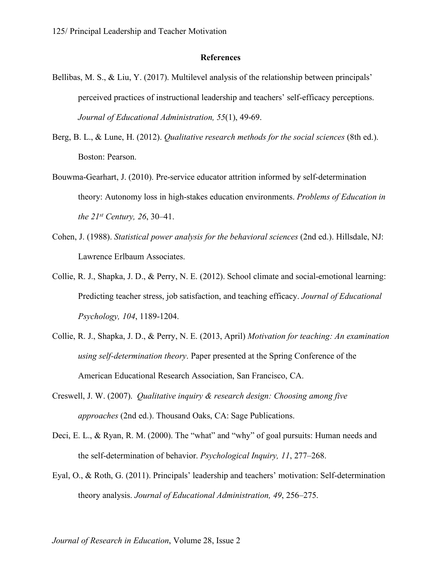#### **References**

- Bellibas, M. S., & Liu, Y. (2017). Multilevel analysis of the relationship between principals' perceived practices of instructional leadership and teachers' self-efficacy perceptions. *Journal of Educational Administration, 55*(1), 49-69.
- Berg, B. L., & Lune, H. (2012). *Qualitative research methods for the social sciences* (8th ed.). Boston: Pearson.
- Bouwma-Gearhart, J. (2010). Pre-service educator attrition informed by self-determination theory: Autonomy loss in high-stakes education environments. *Problems of Education in the 21st Century, 26*, 30–41.
- Cohen, J. (1988). *Statistical power analysis for the behavioral sciences* (2nd ed.). Hillsdale, NJ: Lawrence Erlbaum Associates.
- Collie, R. J., Shapka, J. D., & Perry, N. E. (2012). School climate and social-emotional learning: Predicting teacher stress, job satisfaction, and teaching efficacy. *Journal of Educational Psychology, 104*, 1189-1204.
- Collie, R. J., Shapka, J. D., & Perry, N. E. (2013, April) *Motivation for teaching: An examination using self-determination theory*. Paper presented at the Spring Conference of the American Educational Research Association, San Francisco, CA.
- Creswell, J. W. (2007). *Qualitative inquiry & research design: Choosing among five approaches* (2nd ed.). Thousand Oaks, CA: Sage Publications.
- Deci, E. L., & Ryan, R. M. (2000). The "what" and "why" of goal pursuits: Human needs and the self-determination of behavior. *Psychological Inquiry, 11*, 277–268.
- Eyal, O., & Roth, G. (2011). Principals' leadership and teachers' motivation: Self-determination theory analysis. *Journal of Educational Administration, 49*, 256–275.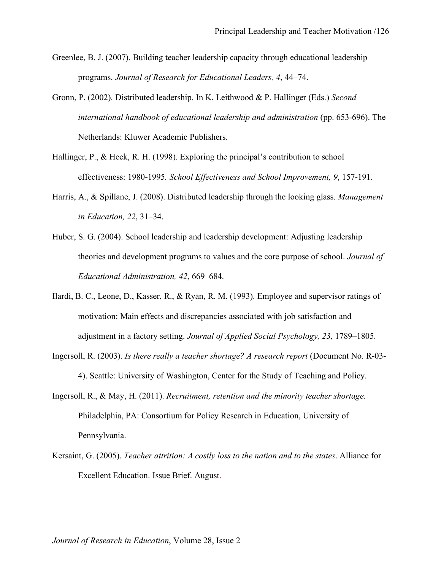- Greenlee, B. J. (2007). Building teacher leadership capacity through educational leadership programs. *Journal of Research for Educational Leaders, 4*, 44–74.
- Gronn, P. (2002). Distributed leadership. In K. Leithwood & P. Hallinger (Eds.) *Second international handbook of educational leadership and administration* (pp. 653-696). The Netherlands: Kluwer Academic Publishers.
- Hallinger, P., & Heck, R. H. (1998). Exploring the principal's contribution to school effectiveness: 1980-1995*. School Effectiveness and School Improvement, 9*, 157-191.
- Harris, A., & Spillane, J. (2008). Distributed leadership through the looking glass. *Management in Education, 22*, 31–34.
- Huber, S. G. (2004). School leadership and leadership development: Adjusting leadership theories and development programs to values and the core purpose of school. *Journal of Educational Administration, 42*, 669–684.
- Ilardi, B. C., Leone, D., Kasser, R., & Ryan, R. M. (1993). Employee and supervisor ratings of motivation: Main effects and discrepancies associated with job satisfaction and adjustment in a factory setting. *Journal of Applied Social Psychology, 23*, 1789–1805.
- Ingersoll, R. (2003). *Is there really a teacher shortage? A research report* (Document No. R-03- 4). Seattle: University of Washington, Center for the Study of Teaching and Policy.
- Ingersoll, R., & May, H. (2011). *Recruitment, retention and the minority teacher shortage.* Philadelphia, PA: Consortium for Policy Research in Education, University of Pennsylvania.
- Kersaint, G. (2005). *Teacher attrition: A costly loss to the nation and to the states*. Alliance for Excellent Education. Issue Brief. August.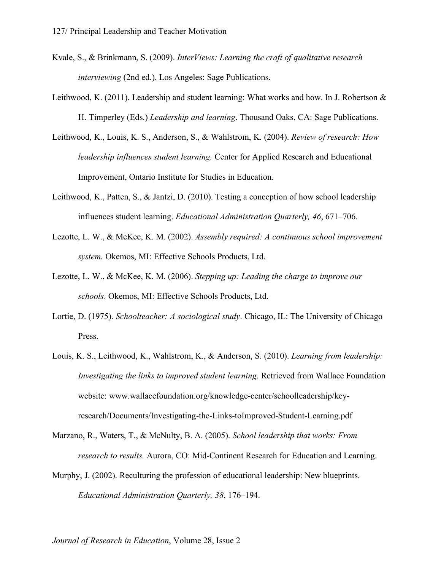- Kvale, S., & Brinkmann, S. (2009). *InterViews: Learning the craft of qualitative research interviewing* (2nd ed.). Los Angeles: Sage Publications.
- Leithwood, K. (2011). Leadership and student learning: What works and how. In J. Robertson & H. Timperley (Eds.) *Leadership and learning*. Thousand Oaks, CA: Sage Publications.
- Leithwood, K., Louis, K. S., Anderson, S., & Wahlstrom, K. (2004). *Review of research: How leadership influences student learning.* Center for Applied Research and Educational Improvement, Ontario Institute for Studies in Education.
- Leithwood, K., Patten, S., & Jantzi, D. (2010). Testing a conception of how school leadership influences student learning. *Educational Administration Quarterly, 46*, 671–706.
- Lezotte, L. W., & McKee, K. M. (2002). *Assembly required: A continuous school improvement system.* Okemos, MI: Effective Schools Products, Ltd.
- Lezotte, L. W., & McKee, K. M. (2006). *Stepping up: Leading the charge to improve our schools*. Okemos, MI: Effective Schools Products, Ltd.
- Lortie, D. (1975). *Schoolteacher: A sociological study*. Chicago, IL: The University of Chicago Press.
- Louis, K. S., Leithwood, K., Wahlstrom, K., & Anderson, S. (2010). *Learning from leadership: Investigating the links to improved student learning*. Retrieved from Wallace Foundation website: www.wallacefoundation.org/knowledge-center/schoolleadership/keyresearch/Documents/Investigating-the-Links-toImproved-Student-Learning.pdf
- Marzano, R., Waters, T., & McNulty, B. A. (2005). *School leadership that works: From research to results.* Aurora, CO: Mid-Continent Research for Education and Learning.
- Murphy, J. (2002). Reculturing the profession of educational leadership: New blueprints. *Educational Administration Quarterly, 38*, 176–194.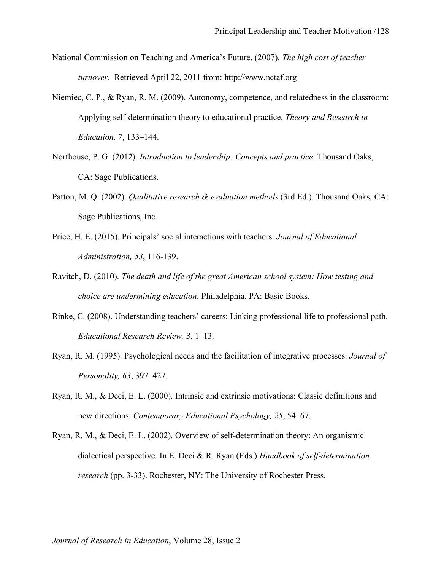- National Commission on Teaching and America's Future. (2007). *The high cost of teacher turnover.* Retrieved April 22, 2011 from: http://www.nctaf.org
- Niemiec, C. P., & Ryan, R. M. (2009). Autonomy, competence, and relatedness in the classroom: Applying self-determination theory to educational practice. *Theory and Research in Education, 7*, 133–144.
- Northouse, P. G. (2012). *Introduction to leadership: Concepts and practice*. Thousand Oaks, CA: Sage Publications.
- Patton, M. Q. (2002). *Qualitative research & evaluation methods* (3rd Ed.). Thousand Oaks, CA: Sage Publications, Inc.
- Price, H. E. (2015). Principals' social interactions with teachers. *Journal of Educational Administration, 53*, 116-139.
- Ravitch, D. (2010). *The death and life of the great American school system: How testing and choice are undermining education*. Philadelphia, PA: Basic Books.
- Rinke, C. (2008). Understanding teachers' careers: Linking professional life to professional path. *Educational Research Review, 3*, 1–13.
- Ryan, R. M. (1995). Psychological needs and the facilitation of integrative processes. *Journal of Personality, 63*, 397–427.
- Ryan, R. M., & Deci, E. L. (2000). Intrinsic and extrinsic motivations: Classic definitions and new directions. *Contemporary Educational Psychology, 25*, 54–67.
- Ryan, R. M., & Deci, E. L. (2002). Overview of self-determination theory: An organismic dialectical perspective. In E. Deci & R. Ryan (Eds.) *Handbook of self-determination research* (pp. 3-33). Rochester, NY: The University of Rochester Press.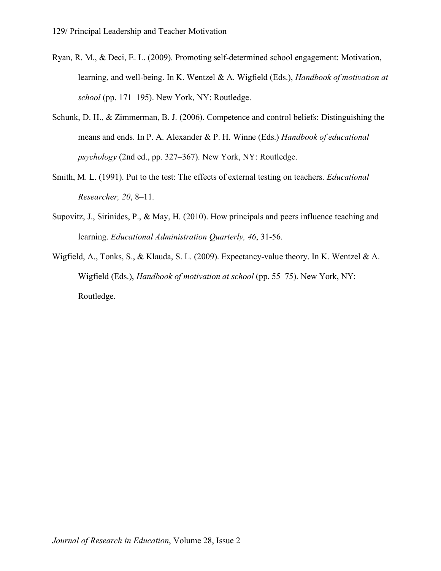- Ryan, R. M., & Deci, E. L. (2009). Promoting self-determined school engagement: Motivation, learning, and well-being. In K. Wentzel & A. Wigfield (Eds.), *Handbook of motivation at school* (pp. 171–195). New York, NY: Routledge.
- Schunk, D. H., & Zimmerman, B. J. (2006). Competence and control beliefs: Distinguishing the means and ends. In P. A. Alexander & P. H. Winne (Eds.) *Handbook of educational psychology* (2nd ed., pp. 327–367). New York, NY: Routledge.
- Smith, M. L. (1991). Put to the test: The effects of external testing on teachers. *Educational Researcher, 20*, 8–11.
- Supovitz, J., Sirinides, P., & May, H. (2010). How principals and peers influence teaching and learning. *Educational Administration Quarterly, 46*, 31-56.
- Wigfield, A., Tonks, S., & Klauda, S. L. (2009). Expectancy-value theory. In K. Wentzel & A. Wigfield (Eds.), *Handbook of motivation at school* (pp. 55–75). New York, NY: Routledge.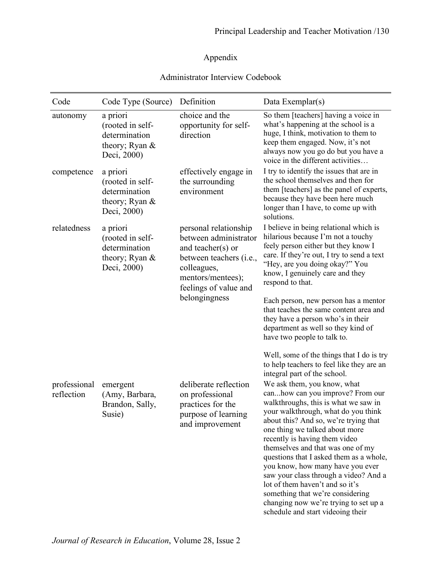## Appendix

### Administrator Interview Codebook

| Code                       | Code Type (Source)                                                               | Definition                                                                                                                                                                                | Data Exemplar(s)                                                                                                                                                                                                                                                                                                                                                                                                                                                                                                                                                                                                                                          |
|----------------------------|----------------------------------------------------------------------------------|-------------------------------------------------------------------------------------------------------------------------------------------------------------------------------------------|-----------------------------------------------------------------------------------------------------------------------------------------------------------------------------------------------------------------------------------------------------------------------------------------------------------------------------------------------------------------------------------------------------------------------------------------------------------------------------------------------------------------------------------------------------------------------------------------------------------------------------------------------------------|
| autonomy                   | a priori<br>(rooted in self-<br>determination<br>theory; Ryan &<br>Deci, 2000)   | choice and the<br>opportunity for self-<br>direction                                                                                                                                      | So them [teachers] having a voice in<br>what's happening at the school is a<br>huge, I think, motivation to them to<br>keep them engaged. Now, it's not<br>always now you go do but you have a<br>voice in the different activities                                                                                                                                                                                                                                                                                                                                                                                                                       |
| competence                 | a priori<br>(rooted in self-<br>determination<br>theory; Ryan &<br>Deci, 2000)   | effectively engage in<br>the surrounding<br>environment                                                                                                                                   | I try to identify the issues that are in<br>the school themselves and then for<br>them [teachers] as the panel of experts,<br>because they have been here much<br>longer than I have, to come up with<br>solutions.                                                                                                                                                                                                                                                                                                                                                                                                                                       |
| relatedness                | a priori<br>(rooted in self-<br>determination<br>theory; Ryan $&$<br>Deci, 2000) | personal relationship<br>between administrator<br>and teacher( $s$ ) or<br>between teachers ( <i>i.e.</i> ,<br>colleagues,<br>mentors/mentees);<br>feelings of value and<br>belongingness | I believe in being relational which is<br>hilarious because I'm not a touchy<br>feely person either but they know I<br>care. If they're out, I try to send a text<br>"Hey, are you doing okay?" You<br>know, I genuinely care and they<br>respond to that.<br>Each person, new person has a mentor<br>that teaches the same content area and<br>they have a person who's in their<br>department as well so they kind of<br>have two people to talk to.<br>Well, some of the things that I do is try                                                                                                                                                       |
| professional<br>reflection | emergent<br>(Amy, Barbara,<br>Brandon, Sally,<br>Susie)                          | deliberate reflection<br>on professional<br>practices for the<br>purpose of learning<br>and improvement                                                                                   | to help teachers to feel like they are an<br>integral part of the school.<br>We ask them, you know, what<br>canhow can you improve? From our<br>walkthroughs, this is what we saw in<br>your walkthrough, what do you think<br>about this? And so, we're trying that<br>one thing we talked about more<br>recently is having them video<br>themselves and that was one of my<br>questions that I asked them as a whole,<br>you know, how many have you ever<br>saw your class through a video? And a<br>lot of them haven't and so it's<br>something that we're considering<br>changing now we're trying to set up a<br>schedule and start videoing their |